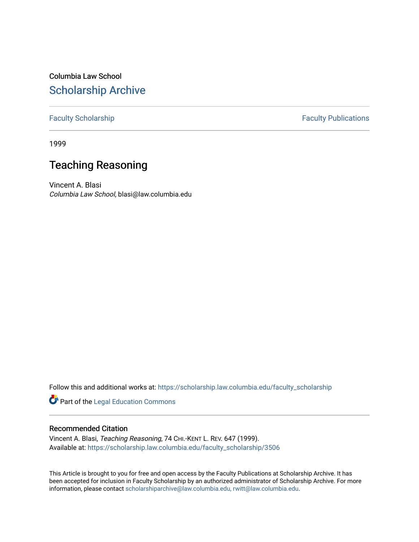Columbia Law School [Scholarship Archive](https://scholarship.law.columbia.edu/) 

## [Faculty Scholarship](https://scholarship.law.columbia.edu/faculty_scholarship) **Faculty Publications**

1999

# Teaching Reasoning

Vincent A. Blasi Columbia Law School, blasi@law.columbia.edu

Follow this and additional works at: [https://scholarship.law.columbia.edu/faculty\\_scholarship](https://scholarship.law.columbia.edu/faculty_scholarship?utm_source=scholarship.law.columbia.edu%2Ffaculty_scholarship%2F3506&utm_medium=PDF&utm_campaign=PDFCoverPages)

Part of the [Legal Education Commons](https://network.bepress.com/hgg/discipline/857?utm_source=scholarship.law.columbia.edu%2Ffaculty_scholarship%2F3506&utm_medium=PDF&utm_campaign=PDFCoverPages) 

## Recommended Citation

Vincent A. Blasi, Teaching Reasoning, 74 CHI.-KENT L. REV. 647 (1999). Available at: [https://scholarship.law.columbia.edu/faculty\\_scholarship/3506](https://scholarship.law.columbia.edu/faculty_scholarship/3506?utm_source=scholarship.law.columbia.edu%2Ffaculty_scholarship%2F3506&utm_medium=PDF&utm_campaign=PDFCoverPages)

This Article is brought to you for free and open access by the Faculty Publications at Scholarship Archive. It has been accepted for inclusion in Faculty Scholarship by an authorized administrator of Scholarship Archive. For more information, please contact [scholarshiparchive@law.columbia.edu, rwitt@law.columbia.edu](mailto:scholarshiparchive@law.columbia.edu,%20rwitt@law.columbia.edu).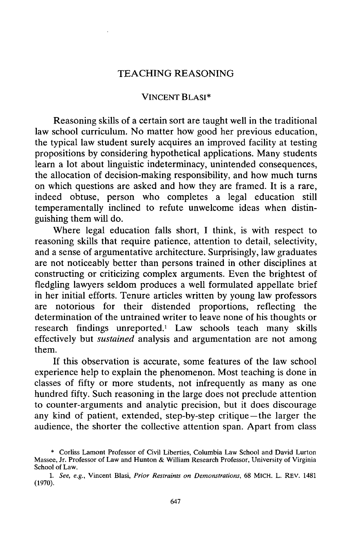### TEACHING REASONING

#### VINCENT BLASI\*

Reasoning skills of a certain sort are taught well in the traditional law school curriculum. No matter how good her previous education, the typical law student surely acquires an improved facility at testing propositions by considering hypothetical applications. Many students learn a lot about linguistic indeterminacy, unintended consequences, the allocation of decision-making responsibility, and how much turns on which questions are asked and how they are framed. It is a rare, indeed obtuse, person who completes a legal education still temperamentally inclined to refute unwelcome ideas when distinguishing them will do.

Where legal education falls short, I think, is with respect to reasoning skills that require patience, attention to detail, selectivity, and a sense of argumentative architecture. Surprisingly, law graduates are not noticeably better than persons trained in other disciplines at constructing or criticizing complex arguments. Even the brightest of fledgling lawyers seldom produces a well formulated appellate brief in her initial efforts. Tenure articles written by young law professors are notorious for their distended proportions, reflecting the determination of the untrained writer to leave none of his thoughts or research findings unreported.' Law schools teach many skills effectively but *sustained* analysis and argumentation are not among them.

If this observation is accurate, some features of the law school experience help to explain the phenomenon. Most teaching is done in classes of fifty or more students, not infrequently as many as one hundred fifty. Such reasoning in the large does not preclude attention to counter-arguments and analytic precision, but it does discourage any kind of patient, extended, step-by-step critique-the larger the audience, the shorter the collective attention span. Apart from class

<sup>\*</sup> Corliss Lamont Professor of Civil Liberties, Columbia Law School and David Lurton Massee, Jr. Professor of Law and Hunton **&** William Research Professor, University **of** Virginia School of Law.

*<sup>1.</sup> See, e.g.,* Vincent Blasi, *Prior Restraints on Demonstrations,* **68** MICH. L. REV. 1481 **(1970).**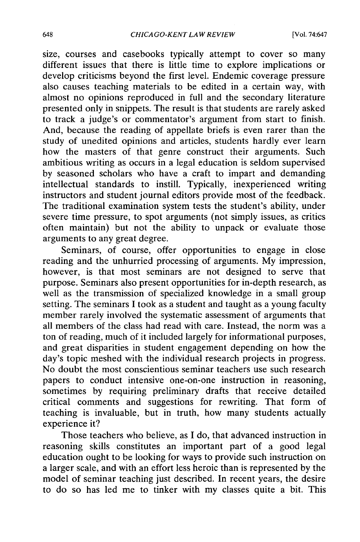size, courses and casebooks typically attempt to cover so many different issues that there is little time to explore implications or develop criticisms beyond the first level. Endemic coverage pressure also causes teaching materials to be edited in a certain way, with almost no opinions reproduced in full and the secondary literature presented only in snippets. The result is that students are rarely asked to track a judge's or commentator's argument from start to finish. And, because the reading of appellate briefs is even rarer than the study of unedited opinions and articles, students hardly ever learn how the masters of that genre construct their arguments. Such ambitious writing as occurs in a legal education is seldom supervised by seasoned scholars who have a craft to impart and demanding intellectual standards to instill. Typically, inexperienced writing instructors and student journal editors provide most of the feedback. The traditional examination system tests the student's ability, under severe time pressure, to spot arguments (not simply issues, as critics often maintain) but not the ability to unpack or evaluate those arguments to any great degree.

Seminars, of course, offer opportunities to engage in close reading and the unhurried processing of arguments. My impression, however, is that most seminars are not designed to serve that purpose. Seminars also present opportunities for in-depth research, as well as the transmission of specialized knowledge in a small group setting. The seminars I took as a student and taught as a young faculty member rarely involved the systematic assessment of arguments that all members of the class had read with care. Instead, the norm was a ton of reading, much of it included largely for informational purposes, and great disparities in student engagement depending on how the day's topic meshed with the individual research projects in progress. No doubt the most conscientious seminar teachers use such research papers to conduct intensive one-on-one instruction in reasoning, sometimes by requiring preliminary drafts that receive detailed critical comments and suggestions for rewriting. That form of teaching is invaluable, but in truth, how many students actually experience it?

Those teachers who believe, as I do, that advanced instruction in reasoning skills constitutes an important part of a good legal education ought to be looking for ways to provide such instruction on a larger scale, and with an effort less heroic than is represented by the model of seminar teaching just described. In recent years, the desire to do so has led me to tinker with my classes quite a bit. This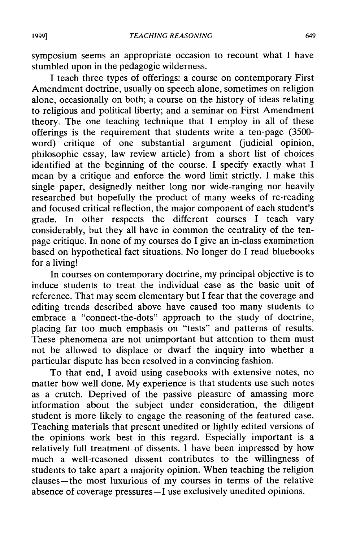symposium seems an appropriate occasion to recount what I have stumbled upon in the pedagogic wilderness.

I teach three types of offerings: a course on contemporary First Amendment doctrine, usually on speech alone, sometimes on religion alone, occasionally on both; a course on the history of ideas relating to religious and political liberty; and a seminar on First Amendment theory. The one teaching technique that I employ in all of these offerings is the requirement that students write a ten-page (3500 word) critique of one substantial argument (judicial opinion, philosophic essay, law review article) from a short list of choices identified at the beginning of the course. I specify exactly what I mean by a critique and enforce the word limit strictly. I make this single paper, designedly neither long nor wide-ranging nor heavily researched but hopefully the product of many weeks of re-reading and focused critical reflection, the major component of each student's grade. In other respects the different courses I teach vary considerably, but they all have in common the centrality of the tenpage critique. In none of my courses do I give an in-class examination based on hypothetical fact situations. No longer do I read bluebooks for a living!

In courses on contemporary doctrine, my principal objective is to induce students to treat the individual case as the basic unit of reference. That may seem elementary but I fear that the coverage and editing trends described above have caused too many students to embrace a "connect-the-dots" approach to the study of doctrine, placing far too much emphasis on "tests" and patterns of results. These phenomena are not unimportant but attention to them must not be allowed to displace or dwarf the inquiry into whether a particular dispute has been resolved in a convincing fashion.

To that end, I avoid using casebooks with extensive notes, no matter how well done. My experience is that students use such notes as a crutch. Deprived of the passive pleasure of amassing more information about the subject under consideration, the diligent student is more likely to engage the reasoning of the featured case. Teaching materials that present unedited or lightly edited versions of the opinions work best in this regard. Especially important is a relatively full treatment of dissents. I have been impressed by how much a well-reasoned dissent contributes to the willingness of students to take apart a majority opinion. When teaching the religior clauses-the most luxurious of my courses in terms of the relative absence of coverage pressures-I use exclusively unedited opinions.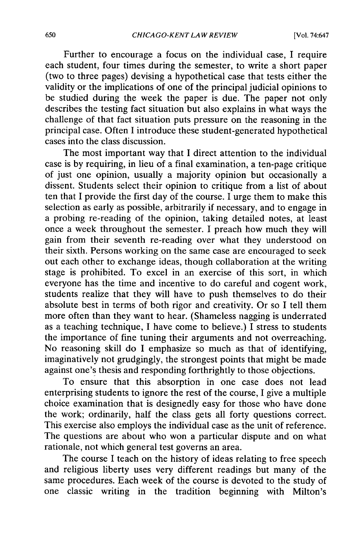Further to encourage a focus on the individual case, I require each student, four times during the semester, to write a short paper (two to three pages) devising a hypothetical case that tests either the validity or the implications of one of the principal judicial opinions to be studied during the week the paper is due. The paper not only describes the testing fact situation but also explains in what ways the challenge of that fact situation puts pressure on the reasoning in the principal case. Often I introduce these student-generated hypothetical cases into the class discussion.

The most important way that I direct attention to the individual case is by requiring, in lieu of a final examination, a ten-page critique of just one opinion, usually a majority opinion but occasionally a dissent. Students select their opinion to critique from a list of about ten that I provide the first day of the course. I urge them to make this selection as early as possible, arbitrarily if necessary, and to engage in a probing re-reading of the opinion, taking detailed notes, at least once a week throughout the semester. I preach how much they will gain from their seventh re-reading over what they understood on their sixth. Persons working on the same case are encouraged to seek out each other to exchange ideas, though collaboration at the writing stage is prohibited. To excel in an exercise of this sort, in which everyone has the time and incentive to do careful and cogent work, students realize that they will have to push themselves to do their absolute best in terms of both rigor and creativity. Or so I tell them more often than they want to hear. (Shameless nagging is underrated as a teaching technique, I have come to believe.) I stress to students the importance of fine tuning their arguments and not overreaching. No reasoning skill do I emphasize so much as that of identifying, imaginatively not grudgingly, the strongest points that might be made against one's thesis and responding forthrightly to those objections.

To ensure that this absorption in one case does not lead enterprising students to ignore the rest of the course, I give a multiple choice examination that is designedly easy for those who have done the work; ordinarily, half the class gets all forty questions correct. This exercise also employs the individual case as the unit of reference. The questions are about who won a particular dispute and on what rationale, not which general test governs an area.

The course I teach on the history of ideas relating to free speech and religious liberty uses very different readings but many of the same procedures. Each week of the course is devoted to the study of one classic writing in the tradition beginning with Milton's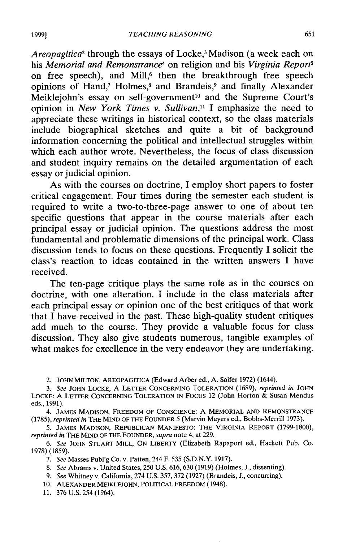*Areopagitica2* through the essays of Locke,3 Madison (a week each on his *Memorial and Remonstrance4* on religion and his *Virginia Reports* on free speech), and Mill,<sup>6</sup> then the breakthrough free speech opinions of Hand,<sup>7</sup> Holmes,<sup>8</sup> and Brandeis,<sup>9</sup> and finally Alexander Meiklejohn's essay on self-government<sup>10</sup> and the Supreme Court's opinion in *New York Times v. Sullivan.1* I emphasize the need to appreciate these writings in historical context, so the class materials include biographical sketches and quite a bit of background information concerning the political and intellectual struggles within which each author wrote. Nevertheless, the focus of class discussion and student inquiry remains on the detailed argumentation of each essay or judicial opinion.

As with the courses on doctrine, I employ short papers to foster critical engagement. Four times during the semester each student is required to write a two-to-three-page answer to one of about ten specific questions that appear in the course materials after each principal essay or judicial opinion. The questions address the most fundamental and problematic dimensions of the principal work. Class discussion tends to focus on these questions. Frequently I solicit the class's reaction to ideas contained in the written answers I have received.

The ten-page critique plays the same role as in the courses on doctrine, with one alteration. I include in the class materials after each principal essay or opinion one of the best critiques of that work that I have received in the past. These high-quality student critiques add much to the course. They provide a valuable focus for class discussion. They also give students numerous, tangible examples of what makes for excellence in the very endeavor they are undertaking.

<sup>2.</sup> JOHN MILTON, AREOPAGITICA (Edward Arber ed., A. Saifer 1972) (1644).

*<sup>3.</sup> See* JOHN LOCKE, A LETTER CONCERNING TOLERATION (1689), *reprinted in* JOHN LOCKE: A LETTER CONCERNING TOLERATION IN FOCUS 12 (John Horton & Susan Mendus eds., 1991).

<sup>4.</sup> **JAMES** MADISON, FREEDOM OF CONSCIENCE: A MEMORIAL AND REMONSTRANCE (1785), *reprinted in THE* MIND OF **THE** FOUNDER *5* (Marvin Meyers ed., Bobbs-Merrill 1973).

<sup>5.</sup> JAMES MADISON, REPUBLICAN MANIFESTO: THE VIRGINIA REPORT (1799-1800), *reprinted in* THE MIND OF THE FOUNDER, *supra* note 4, at 229.

*<sup>6.</sup> See* JOHN STUART MILL, ON LIBERTY (Elizabeth Rapaport ed., Hackett Pub. Co. 1978) (1859).

*<sup>7.</sup> See* Masses Publ'g Co. v. Patten, 244 F. 535 (S.D.N.Y. 1917).

*<sup>8.</sup> See* Abrams v. United States, **250** U.S. 616, **630** (1919) (Holmes, J., dissenting).

<sup>9.</sup> *See* Whitney v. California, 274 U.S. 357, 372 (1927) (Brandeis, J., concurring).

**<sup>10.</sup>** ALEXANDER MEIKLEJOHN, POLITICAL FREEDOM (1948).

<sup>11. 376</sup> U.S. 254 (1964).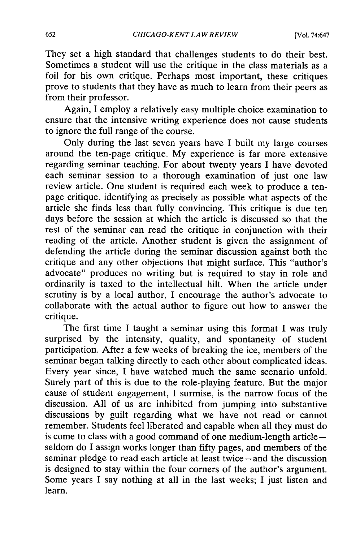They set a high standard that challenges students to do their best. Sometimes a student will use the critique in the class materials as a foil for his own critique. Perhaps most important, these critiques prove to students that they have as much to learn from their peers as from their professor.

Again, I employ a relatively easy multiple choice examination to ensure that the intensive writing experience does not cause students to ignore the full range of the course.

Only during the last seven years have I built my large courses around the ten-page critique. My experience is far more extensive regarding seminar teaching. For about twenty years I have devoted each seminar session to a thorough examination of just one law review article. One student is required each week to produce a tenpage critique, identifying as precisely as possible what aspects of the article she finds less than fully convincing. This critique is due ten days before the session at which the article is discussed so that the rest of the seminar can read the critique in conjunction with their reading of the article. Another student is given the assignment of defending the article during the seminar discussion against both the critique and any other objections that might surface. This "author's advocate" produces no writing but is required to stay in role and ordinarily is taxed to the intellectual hilt. When the article under scrutiny is by a local author, I encourage the author's advocate to collaborate with the actual author to figure out how to answer the critique.

The first time I taught a seminar using this format I was truly surprised by the intensity, quality, and spontaneity of student participation. After a few weeks of breaking the ice, members of the seminar began talking directly to each other about complicated ideas. Every year since, I have watched much the same scenario unfold. Surely part since, a natural material in the playing feature. But the major cause of student engagement, I surmise, is the narrow focus of the discussion. All of us are inhibited from jumping into substantive discussions by guilt regarding what we have not read or cannot remember. Students feel liberated and capable when all they must do is come to class with a good command of one medium-length articleseldom do I assign works longer than fifty pages, and members of the seminar pledge to read each article at least twice-and the discussion is designed to stay within the four corners of the author's argument. Some years I say nothing at all in the last weeks; I just listen and learn.